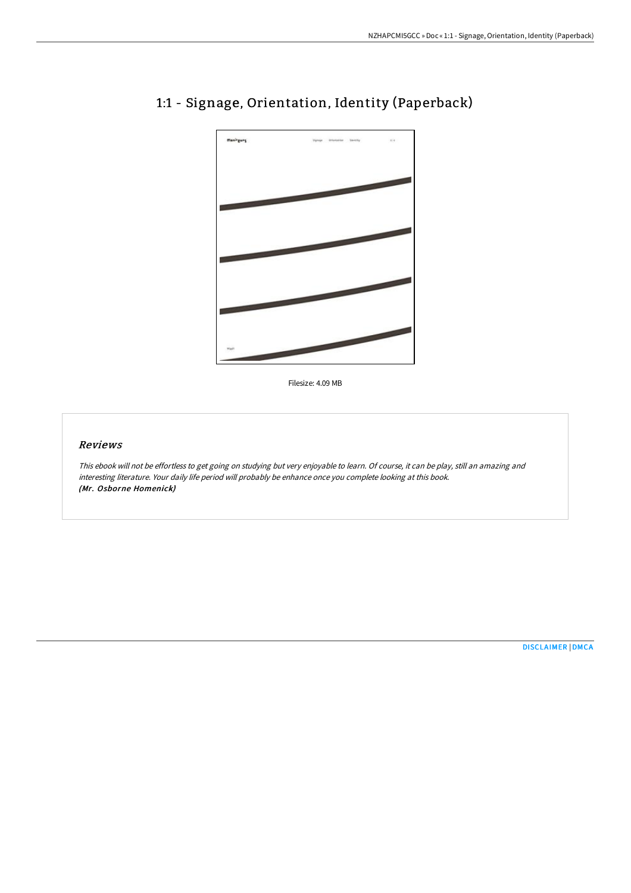

# 1:1 - Signage, Orientation, Identity (Paperback)

Filesize: 4.09 MB

## Reviews

This ebook will not be effortless to get going on studying but very enjoyable to learn. Of course, it can be play, still an amazing and interesting literature. Your daily life period will probably be enhance once you complete looking at this book. (Mr. Osborne Homenick)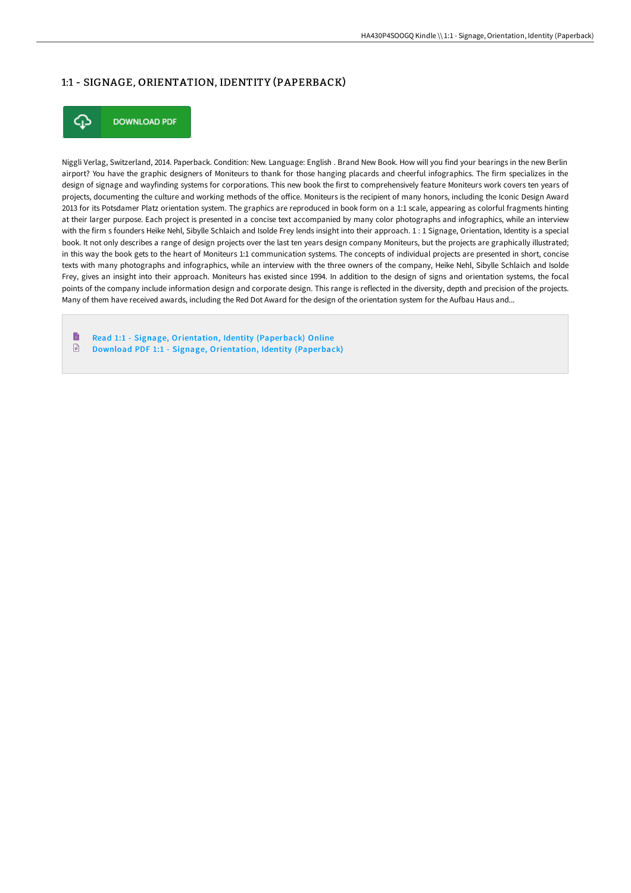## 1:1 - SIGNAGE, ORIENTATION, IDENTITY (PAPERBACK)



Niggli Verlag, Switzerland, 2014. Paperback. Condition: New. Language: English . Brand New Book. How will you find your bearings in the new Berlin airport? You have the graphic designers of Moniteurs to thank for those hanging placards and cheerful infographics. The firm specializes in the design of signage and wayfinding systems for corporations. This new book the first to comprehensively feature Moniteurs work covers ten years of projects, documenting the culture and working methods of the office. Moniteurs is the recipient of many honors, including the Iconic Design Award 2013 for its Potsdamer Platz orientation system. The graphics are reproduced in book form on a 1:1 scale, appearing as colorful fragments hinting at their larger purpose. Each project is presented in a concise text accompanied by many color photographs and infographics, while an interview with the firm s founders Heike Nehl, Sibylle Schlaich and Isolde Frey lends insight into their approach. 1 : 1 Signage, Orientation, Identity is a special book. It not only describes a range of design projects over the last ten years design company Moniteurs, but the projects are graphically illustrated; in this way the book gets to the heart of Moniteurs 1:1 communication systems. The concepts of individual projects are presented in short, concise texts with many photographs and infographics, while an interview with the three owners of the company, Heike Nehl, Sibylle Schlaich and Isolde Frey, gives an insight into their approach. Moniteurs has existed since 1994. In addition to the design of signs and orientation systems, the focal points of the company include information design and corporate design. This range is reflected in the diversity, depth and precision of the projects. Many of them have received awards, including the Red Dot Award for the design of the orientation system for the Aufbau Haus and...

Ð Read 1:1 - Signage, [Orientation,](http://techno-pub.tech/1-1-signage-orientation-identity-paperback.html) Identity (Paperback) Online  $\textcolor{red}{\Box}$ Download PDF 1:1 - Signage, [Orientation,](http://techno-pub.tech/1-1-signage-orientation-identity-paperback.html) Identity (Paperback)